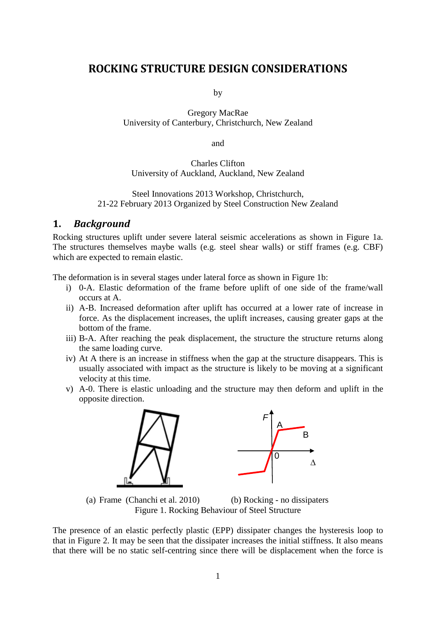# **ROCKING STRUCTURE DESIGN CONSIDERATIONS**

by

Gregory MacRae University of Canterbury, Christchurch, New Zealand

and

Charles Clifton University of Auckland, Auckland, New Zealand

Steel Innovations 2013 Workshop, Christchurch, 21-22 February 2013 Organized by Steel Construction New Zealand

## **1.** *Background*

Rocking structures uplift under severe lateral seismic accelerations as shown in Figure 1a. The structures themselves maybe walls (e.g. steel shear walls) or stiff frames (e.g. CBF) which are expected to remain elastic.

The deformation is in several stages under lateral force as shown in Figure 1b:

- i) 0-A. Elastic deformation of the frame before uplift of one side of the frame/wall occurs at A.
- ii) A-B. Increased deformation after uplift has occurred at a lower rate of increase in force. As the displacement increases, the uplift increases, causing greater gaps at the bottom of the frame.
- iii) B-A. After reaching the peak displacement, the structure the structure returns along the same loading curve.
- iv) At A there is an increase in stiffness when the gap at the structure disappears. This is usually associated with impact as the structure is likely to be moving at a significant velocity at this time.
- v) A-0. There is elastic unloading and the structure may then deform and uplift in the opposite direction.



(a) Frame (Chanchi et al. 2010) (b) Rocking - no dissipaters Figure 1. Rocking Behaviour of Steel Structure

The presence of an elastic perfectly plastic (EPP) dissipater changes the hysteresis loop to that in Figure 2. It may be seen that the dissipater increases the initial stiffness. It also means that there will be no static self-centring since there will be displacement when the force is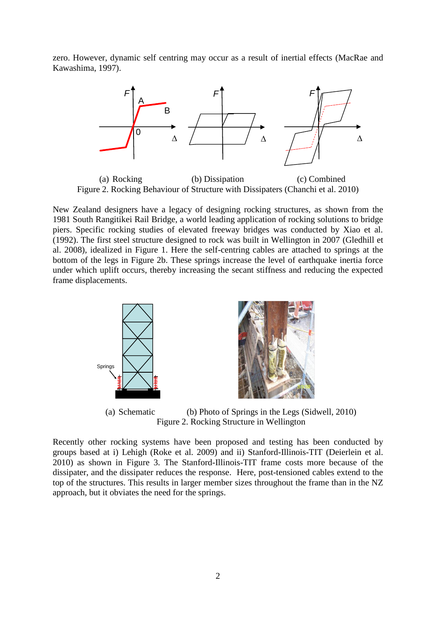zero. However, dynamic self centring may occur as a result of inertial effects (MacRae and Kawashima, 1997).



(a) Rocking (b) Dissipation (c) Combined Figure 2. Rocking Behaviour of Structure with Dissipaters (Chanchi et al. 2010)

New Zealand designers have a legacy of designing rocking structures, as shown from the 1981 South Rangitikei Rail Bridge, a world leading application of rocking solutions to bridge piers. Specific rocking studies of elevated freeway bridges was conducted by Xiao et al. (1992). The first steel structure designed to rock was built in Wellington in 2007 (Gledhill et al. 2008), idealized in Figure 1. Here the self-centring cables are attached to springs at the bottom of the legs in Figure 2b. These springs increase the level of earthquake inertia force under which uplift occurs, thereby increasing the secant stiffness and reducing the expected frame displacements.



(a) Schematic (b) Photo of Springs in the Legs (Sidwell, 2010) Figure 2. Rocking Structure in Wellington

Recently other rocking systems have been proposed and testing has been conducted by groups based at i) Lehigh (Roke et al. 2009) and ii) Stanford-Illinois-TIT (Deierlein et al. 2010) as shown in Figure 3. The Stanford-Illinois-TIT frame costs more because of the dissipater, and the dissipater reduces the response. Here, post-tensioned cables extend to the top of the structures. This results in larger member sizes throughout the frame than in the NZ approach, but it obviates the need for the springs.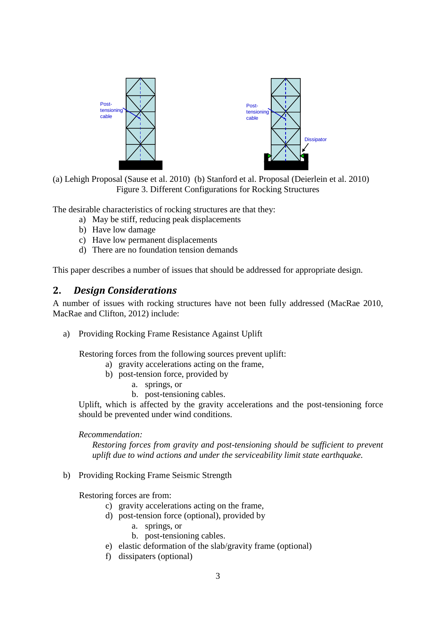

 $\text{Sal (Sause et al. 2010)}$  (b) Stanford et 10) (b) Stanford et al. Proposal (Deierlei (a) Lehigh Proposal (Sause et al. 2010) (b) Stanford et al. Proposal (Deierlein et al. 2010) Figure 3. Different Configurations for Rocking Structures

The desirable characteristics of rocking structures are that they:

- a) May be stiff, reducing peak displacements
- b) Have low damage
- c) Have low permanent displacements
- d) There are no foundation tension demands

This paper describes a number of issues that should be addressed for appropriate design.

## **2.** *Design Considerations*

A number of issues with rocking structures have not been fully addressed (MacRae 2010, MacRae and Clifton, 2012) include:

a) Providing Rocking Frame Resistance Against Uplift

Restoring forces from the following sources prevent uplift:

- a) gravity accelerations acting on the frame,
- b) post-tension force, provided by
	- a. springs, or
	- b. post-tensioning cables.

Uplift, which is affected by the gravity accelerations and the post-tensioning force should be prevented under wind conditions.

## *Recommendation:*

*Restoring forces from gravity and post-tensioning should be sufficient to prevent uplift due to wind actions and under the serviceability limit state earthquake.*

b) Providing Rocking Frame Seismic Strength

Restoring forces are from:

- c) gravity accelerations acting on the frame,
- d) post-tension force (optional), provided by
	- a. springs, or
	- b. post-tensioning cables.
- e) elastic deformation of the slab/gravity frame (optional)
- f) dissipaters (optional)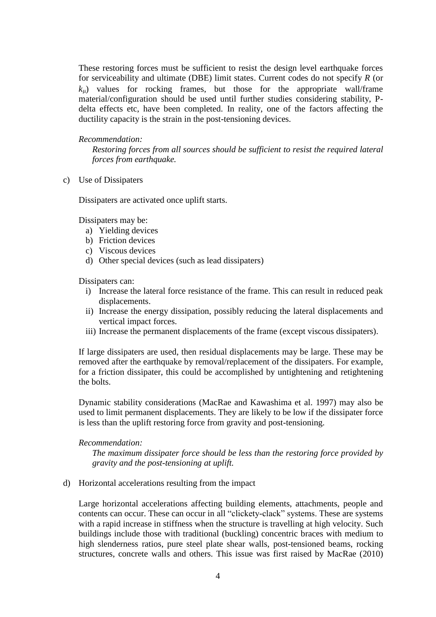These restoring forces must be sufficient to resist the design level earthquake forces for serviceability and ultimate (DBE) limit states. Current codes do not specify *R* (or  $k_{\rm u}$ ) values for rocking frames, but those for the appropriate wall/frame material/configuration should be used until further studies considering stability, Pdelta effects etc, have been completed. In reality, one of the factors affecting the ductility capacity is the strain in the post-tensioning devices.

### *Recommendation:*

*Restoring forces from all sources should be sufficient to resist the required lateral forces from earthquake.* 

c) Use of Dissipaters

Dissipaters are activated once uplift starts.

Dissipaters may be:

- a) Yielding devices
- b) Friction devices
- c) Viscous devices
- d) Other special devices (such as lead dissipaters)

Dissipaters can:

- i) Increase the lateral force resistance of the frame. This can result in reduced peak displacements.
- ii) Increase the energy dissipation, possibly reducing the lateral displacements and vertical impact forces.
- iii) Increase the permanent displacements of the frame (except viscous dissipaters).

If large dissipaters are used, then residual displacements may be large. These may be removed after the earthquake by removal/replacement of the dissipaters. For example, for a friction dissipater, this could be accomplished by untightening and retightening the bolts.

Dynamic stability considerations (MacRae and Kawashima et al. 1997) may also be used to limit permanent displacements. They are likely to be low if the dissipater force is less than the uplift restoring force from gravity and post-tensioning.

## *Recommendation:*

*The maximum dissipater force should be less than the restoring force provided by gravity and the post-tensioning at uplift.* 

d) Horizontal accelerations resulting from the impact

Large horizontal accelerations affecting building elements, attachments, people and contents can occur. These can occur in all "clickety-clack" systems. These are systems with a rapid increase in stiffness when the structure is travelling at high velocity. Such buildings include those with traditional (buckling) concentric braces with medium to high slenderness ratios, pure steel plate shear walls, post-tensioned beams, rocking structures, concrete walls and others. This issue was first raised by MacRae (2010)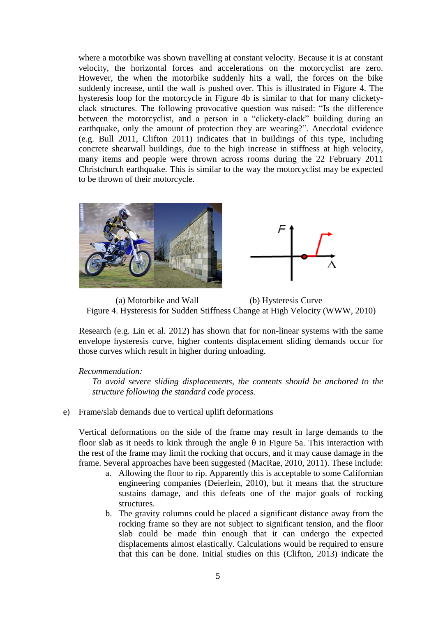where a motorbike was shown travelling at constant velocity. Because it is at constant velocity, the horizontal forces and accelerations on the motorcyclist are zero. However, the when the motorbike suddenly hits a wall, the forces on the bike suddenly increase, until the wall is pushed over. This is illustrated in Figure 4. The hysteresis loop for the motorcycle in Figure 4b is similar to that for many clicketyclack structures. The following provocative question was raised: "Is the difference between the motorcyclist, and a person in a "clickety-clack" building during an earthquake, only the amount of protection they are wearing?". Anecdotal evidence (e.g. Bull 2011, Clifton 2011) indicates that in buildings of this type, including concrete shearwall buildings, due to the high increase in stiffness at high velocity, many items and people were thrown across rooms during the 22 February 2011 Christchurch earthquake. This is similar to the way the motorcyclist may be expected to be thrown of their motorcycle.





(a) Motorbike and Wall (b) Hysteresis Curve Figure 4. Hysteresis for Sudden Stiffness Change at High Velocity (WWW, 2010)

Research (e.g. Lin et al. 2012) has shown that for non-linear systems with the same envelope hysteresis curve, higher contents displacement sliding demands occur for those curves which result in higher during unloading.

#### *Recommendation:*

*To avoid severe sliding displacements, the contents should be anchored to the structure following the standard code process.*

e) Frame/slab demands due to vertical uplift deformations

Vertical deformations on the side of the frame may result in large demands to the floor slab as it needs to kink through the angle  $\theta$  in Figure 5a. This interaction with the rest of the frame may limit the rocking that occurs, and it may cause damage in the frame. Several approaches have been suggested (MacRae, 2010, 2011). These include:

- a. Allowing the floor to rip. Apparently this is acceptable to some Californian engineering companies (Deierlein, 2010), but it means that the structure sustains damage, and this defeats one of the major goals of rocking structures.
- b. The gravity columns could be placed a significant distance away from the rocking frame so they are not subject to significant tension, and the floor slab could be made thin enough that it can undergo the expected displacements almost elastically. Calculations would be required to ensure that this can be done. Initial studies on this (Clifton, 2013) indicate the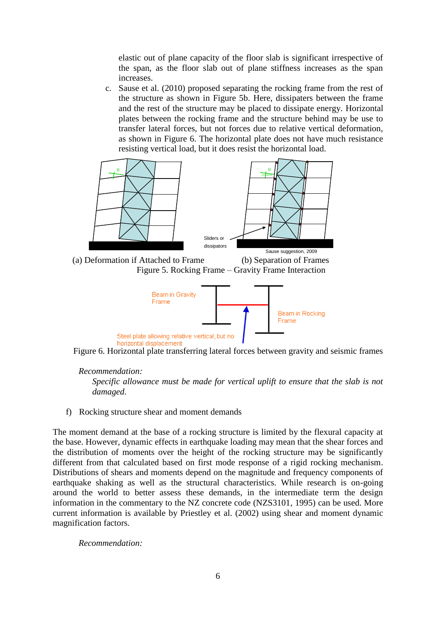elastic out of plane capacity of the floor slab is significant irrespective of the span, as the floor slab out of plane stiffness increases as the span increases.

c. Sause et al. (2010) proposed separating the rocking frame from the rest of the structure as shown in Figure 5b. Here, dissipaters between the frame and the rest of the structure may be placed to dissipate energy. Horizontal plates between the rocking frame and the structure behind may be use to transfer lateral forces, but not forces due to relative vertical deformation, as shown in Figure 6. The horizontal plate does not have much resistance resisting vertical load, but it does resist the horizontal load.



Steel plate allowing relative vertical, but no horizontal displacement

Figure 6. Horizontal plate transferring lateral forces between gravity and seismic frames

## *Recommendation:*

*Specific allowance must be made for vertical uplift to ensure that the slab is not damaged.*

f) Rocking structure shear and moment demands

The moment demand at the base of a rocking structure is limited by the flexural capacity at the base. However, dynamic effects in earthquake loading may mean that the shear forces and the distribution of moments over the height of the rocking structure may be significantly different from that calculated based on first mode response of a rigid rocking mechanism. Distributions of shears and moments depend on the magnitude and frequency components of earthquake shaking as well as the structural characteristics. While research is on-going around the world to better assess these demands, in the intermediate term the design information in the commentary to the NZ concrete code (NZS3101, 1995) can be used. More current information is available by Priestley et al. (2002) using shear and moment dynamic magnification factors.

*Recommendation:*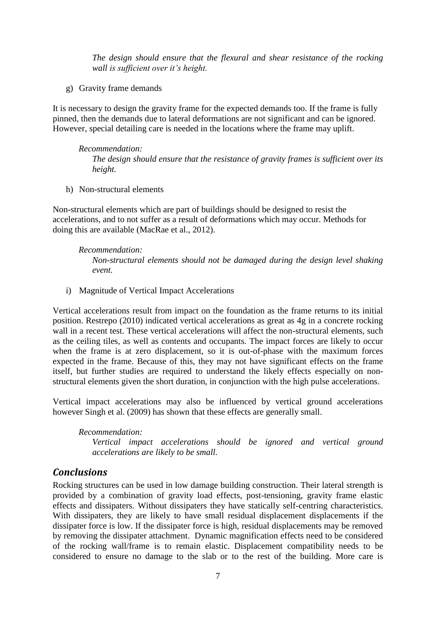*The design should ensure that the flexural and shear resistance of the rocking wall is sufficient over it's height.* 

g) Gravity frame demands

It is necessary to design the gravity frame for the expected demands too. If the frame is fully pinned, then the demands due to lateral deformations are not significant and can be ignored. However, special detailing care is needed in the locations where the frame may uplift.

*Recommendation: The design should ensure that the resistance of gravity frames is sufficient over its height.* 

h) Non-structural elements

Non-structural elements which are part of buildings should be designed to resist the accelerations, and to not suffer as a result of deformations which may occur. Methods for doing this are available (MacRae et al., 2012).

*Recommendation: Non-structural elements should not be damaged during the design level shaking event.* 

i) Magnitude of Vertical Impact Accelerations

Vertical accelerations result from impact on the foundation as the frame returns to its initial position. Restrepo (2010) indicated vertical accelerations as great as 4g in a concrete rocking wall in a recent test. These vertical accelerations will affect the non-structural elements, such as the ceiling tiles, as well as contents and occupants. The impact forces are likely to occur when the frame is at zero displacement, so it is out-of-phase with the maximum forces expected in the frame. Because of this, they may not have significant effects on the frame itself, but further studies are required to understand the likely effects especially on nonstructural elements given the short duration, in conjunction with the high pulse accelerations.

Vertical impact accelerations may also be influenced by vertical ground accelerations however Singh et al. (2009) has shown that these effects are generally small.

*Recommendation:*

*Vertical impact accelerations should be ignored and vertical ground accelerations are likely to be small.* 

## *Conclusions*

Rocking structures can be used in low damage building construction. Their lateral strength is provided by a combination of gravity load effects, post-tensioning, gravity frame elastic effects and dissipaters. Without dissipaters they have statically self-centring characteristics. With dissipaters, they are likely to have small residual displacement displacements if the dissipater force is low. If the dissipater force is high, residual displacements may be removed by removing the dissipater attachment. Dynamic magnification effects need to be considered of the rocking wall/frame is to remain elastic. Displacement compatibility needs to be considered to ensure no damage to the slab or to the rest of the building. More care is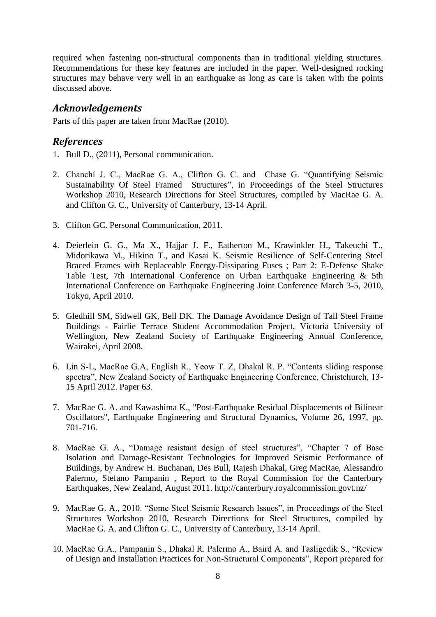required when fastening non-structural components than in traditional yielding structures. Recommendations for these key features are included in the paper. Well-designed rocking structures may behave very well in an earthquake as long as care is taken with the points discussed above.

# *Acknowledgements*

Parts of this paper are taken from MacRae (2010).

# *References*

- 1. Bull D., (2011), Personal communication.
- 2. Chanchí J. C., MacRae G. A., Clifton G. C. and Chase G. "Quantifying Seismic Sustainability Of Steel Framed Structures", in Proceedings of the Steel Structures Workshop 2010, Research Directions for Steel Structures, compiled by MacRae G. A. and Clifton G. C., University of Canterbury, 13-14 April.
- 3. Clifton GC. Personal Communication, 2011.
- 4. Deierlein G. G., Ma X., Hajjar J. F., Eatherton M., Krawinkler H., Takeuchi T., Midorikawa M., Hikino T., and Kasai K. Seismic Resilience of Self-Centering Steel Braced Frames with Replaceable Energy-Dissipating Fuses ; Part 2: E-Defense Shake Table Test, 7th International Conference on Urban Earthquake Engineering & 5th International Conference on Earthquake Engineering Joint Conference March 3-5, 2010, Tokyo, April 2010.
- 5. Gledhill SM, Sidwell GK, Bell DK. The Damage Avoidance Design of Tall Steel Frame Buildings - Fairlie Terrace Student Accommodation Project, Victoria University of Wellington, New Zealand Society of Earthquake Engineering Annual Conference, Wairakei, April 2008.
- 6. Lin S-L, MacRae G.A, English R., Yeow T. Z, Dhakal R. P. "Contents sliding response spectra", New Zealand Society of Earthquake Engineering Conference, Christchurch, 13- 15 April 2012. Paper 63.
- 7. MacRae G. A. and Kawashima K., "Post-Earthquake Residual Displacements of Bilinear Oscillators", Earthquake Engineering and Structural Dynamics, Volume 26, 1997, pp. 701-716.
- 8. MacRae G. A., "Damage resistant design of steel structures", "Chapter 7 of Base Isolation and Damage-Resistant Technologies for Improved Seismic Performance of Buildings, by Andrew H. Buchanan, Des Bull, Rajesh Dhakal, Greg MacRae, Alessandro Palermo, Stefano Pampanin , Report to the Royal Commission for the Canterbury Earthquakes, New Zealand, August 2011. http://canterbury.royalcommission.govt.nz/
- 9. MacRae G. A., 2010. "Some Steel Seismic Research Issues", in Proceedings of the Steel Structures Workshop 2010, Research Directions for Steel Structures, compiled by MacRae G. A. and Clifton G. C., University of Canterbury, 13-14 April.
- 10. MacRae G.A., Pampanin S., Dhakal R. Palermo A., Baird A. and Tasligedik S., "Review of Design and Installation Practices for Non-Structural Components", Report prepared for